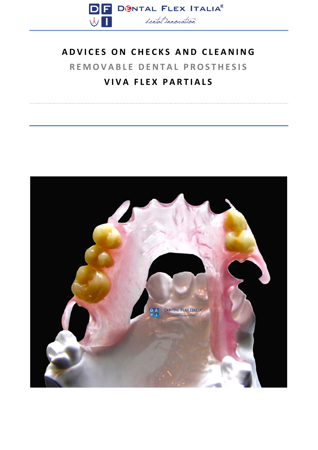

# **ADVICES ON CHECKS AND CLEANING REMOVABLE DENTAL PROSTHESIS VIVA FLEX PARTIALS**